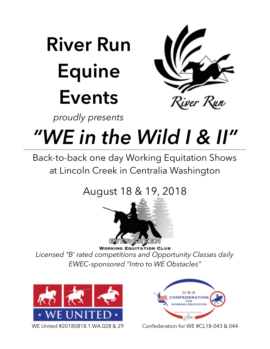# **River Run Equine Events**



*proudly presents*

## *"WE in the Wild I & II"*

Back-to-back one day Working Equitation Shows at Lincoln Creek in Centralia Washington

### August 18 & 19, 2018



**WORKING EQUITATION CLUB** *Licensed "B' rated competitions and Opportunity Classes daily EWEC-sponsored "Intro to WE Obstacles"*





WE United #20180818.1.WA.028 & 29 Confederation for WE #CL18-043 & 044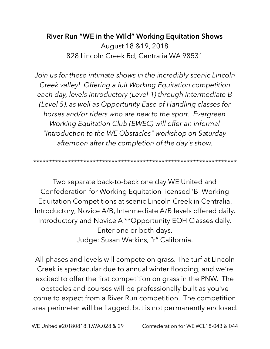#### **River Run "WE in the WIld" Working Equitation Shows**  August 18 &19, 2018 828 Lincoln Creek Rd, Centralia WA 98531

*Join us for these intimate shows in the incredibly scenic Lincoln Creek valley! Offering a full Working Equitation competition each day, levels Introductory (Level 1) through Intermediate B (Level 5), as well as Opportunity Ease of Handling classes for horses and/or riders who are new to the sport. Evergreen Working Equitation Club (EWEC) will offer an informal "Introduction to the WE Obstacles" workshop on Saturday afternoon after the completion of the day's show.* 

*\*\*\*\*\*\*\*\*\*\*\*\*\*\*\*\*\*\*\*\*\*\*\*\*\*\*\*\*\*\*\*\*\*\*\*\*\*\*\*\*\*\*\*\*\*\*\*\*\*\*\*\*\*\*\*\*\*\*\*\*\*\*\*\*\** 

Two separate back-to-back one day WE United and Confederation for Working Equitation licensed 'B' Working Equitation Competitions at scenic Lincoln Creek in Centralia. Introductory, Novice A/B, Intermediate A/B levels offered daily. Introductory and Novice A \*\*Opportunity EOH Classes daily. Enter one or both days. Judge: Susan Watkins, "r" California.

All phases and levels will compete on grass. The turf at Lincoln Creek is spectacular due to annual winter flooding, and we're excited to offer the first competition on grass in the PNW. The obstacles and courses will be professionally built as you've come to expect from a River Run competition. The competition area perimeter will be flagged, but is not permanently enclosed.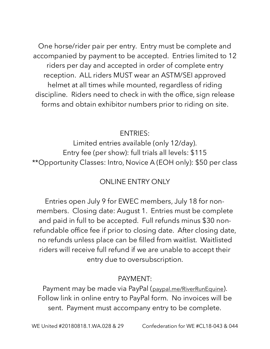One horse/rider pair per entry. Entry must be complete and accompanied by payment to be accepted. Entries limited to 12 riders per day and accepted in order of complete entry reception. ALL riders MUST wear an ASTM/SEI approved helmet at all times while mounted, regardless of riding discipline. Riders need to check in with the office, sign release forms and obtain exhibitor numbers prior to riding on site.

#### ENTRIES:

Limited entries available (only 12/day). Entry fee (per show): full trials all levels: \$115 \*\*Opportunity Classes: Intro, Novice A (EOH only): \$50 per class

#### ONI INF ENTRY ONLY

Entries open July 9 for EWEC members, July 18 for nonmembers. Closing date: August 1. Entries must be complete and paid in full to be accepted. Full refunds minus \$30 nonrefundable office fee if prior to closing date. After closing date, no refunds unless place can be filled from waitlist. Waitlisted riders will receive full refund if we are unable to accept their entry due to oversubscription.

#### PAYMENT:

Payment may be made via PayPal ([paypal.me/RiverRunEquine\)](http://paypal.me/RiverRunEquine). Follow link in online entry to PayPal form. No invoices will be sent. Payment must accompany entry to be complete.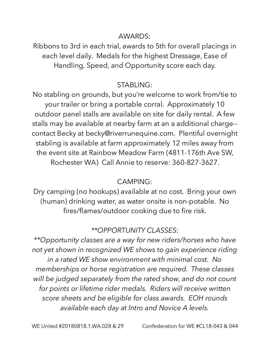#### AWARDS:

Ribbons to 3rd in each trial, awards to 5th for overall placings in each level daily. Medals for the highest Dressage, Ease of Handling, Speed, and Opportunity score each day.

#### STABLING:

No stabling on grounds, but you're welcome to work from/tie to your trailer or bring a portable corral. Approximately 10 outdoor panel stalls are available on site for daily rental. A few stalls may be available at nearby farm at an a additional charge- contact Becky at becky@riverrunequine.com. Plentiful overnight stabling is available at farm approximately 12 miles away from the event site at Rainbow Meadow Farm (4811-176th Ave SW, Rochester WA) Call Annie to reserve: 360-827-3627.

#### CAMPING:

Dry camping (no hookups) available at no cost. Bring your own (human) drinking water, as water onsite is non-potable. No fires/flames/outdoor cooking due to fire risk.

#### *\*\*OPPORTUNITY CLASSES:*

*\*\*Opportunity classes are a way for new riders/horses who have not yet shown in recognized WE shows to gain experience riding in a rated WE show environment with minimal cost. No memberships or horse registration are required. These classes will be judged separately from the rated show, and do not count for points or lifetime rider medals. Riders will receive written score sheets and be eligible for class awards. EOH rounds available each day at Intro and Novice A levels.*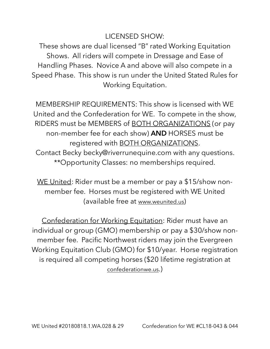#### LICENSED SHOW:

These shows are dual licensed "B" rated Working Equitation Shows. All riders will compete in Dressage and Ease of Handling Phases. Novice A and above will also compete in a Speed Phase. This show is run under the United Stated Rules for Working Equitation.

MEMBERSHIP REQUIREMENTS: This show is licensed with WE United and the Confederation for WE. To compete in the show, RIDERS must be MEMBERS of BOTH ORGANIZATIONS (or pay non-member fee for each show) **AND** HORSES must be registered with BOTH ORGANIZATIONS. Contact Becky becky@riverrunequine.com with any questions. \*\*Opportunity Classes: no memberships required.

WE United: Rider must be a member or pay a \$15/show nonmember fee. Horses must be registered with WE United (available free at [www.weunited.us](http://www.weunited.us))

Confederation for Working Equitation: Rider must have an individual or group (GMO) membership or pay a \$30/show nonmember fee. Pacific Northwest riders may join the Evergreen Working Equitation Club (GMO) for \$10/year. Horse registration is required all competing horses (\$20 lifetime registration at [confederationwe.us](http://confederationwe.us).)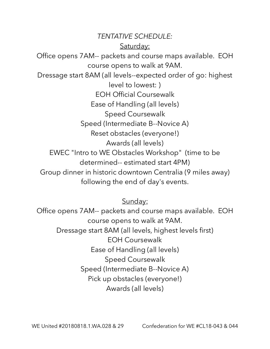*TENTATIVE SCHEDULE:*  Saturday: Office opens 7AM-- packets and course maps available. EOH course opens to walk at 9AM. Dressage start 8AM (all levels--expected order of go: highest level to lowest: ) EOH Official Coursewalk Ease of Handling (all levels) Speed Coursewalk Speed (Intermediate B--Novice A) Reset obstacles (everyone!) Awards (all levels) EWEC "Intro to WE Obstacles Workshop" (time to be determined-- estimated start 4PM) Group dinner in historic downtown Centralia (9 miles away) following the end of day's events.

Sunday:

Office opens 7AM-- packets and course maps available. EOH course opens to walk at 9AM. Dressage start 8AM (all levels, highest levels first) EOH Coursewalk Ease of Handling (all levels) Speed Coursewalk Speed (Intermediate B--Novice A) Pick up obstacles (everyone!) Awards (all levels)